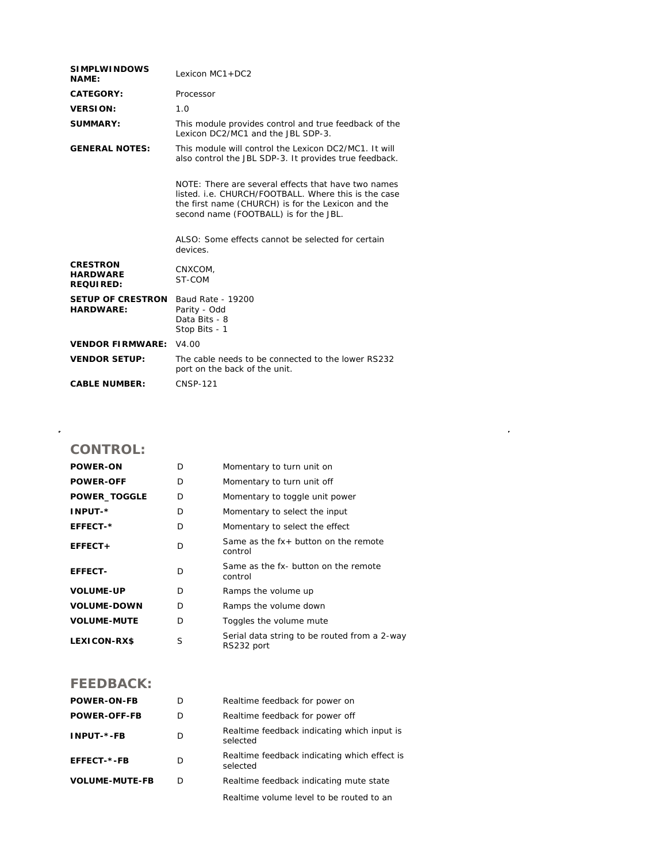| <b>SIMPLWINDOWS</b><br><b>NAME:</b>                    | Lexicon $MC1 + DC2$                                                                                                                                                                                         |  |  |
|--------------------------------------------------------|-------------------------------------------------------------------------------------------------------------------------------------------------------------------------------------------------------------|--|--|
| <b>CATEGORY:</b>                                       | Processor                                                                                                                                                                                                   |  |  |
| <b>VERSION:</b>                                        | 1.0                                                                                                                                                                                                         |  |  |
| SUMMARY:                                               | This module provides control and true feedback of the<br>Lexicon DC2/MC1 and the JBL SDP-3.                                                                                                                 |  |  |
| <b>GENERAL NOTES:</b>                                  | This module will control the Lexicon DC2/MC1. It will<br>also control the JBL SDP-3. It provides true feedback.                                                                                             |  |  |
|                                                        | NOTE: There are several effects that have two names<br>listed, i.e. CHURCH/FOOTBALL. Where this is the case<br>the first name (CHURCH) is for the Lexicon and the<br>second name (FOOTBALL) is for the JBL. |  |  |
|                                                        | ALSO: Some effects cannot be selected for certain<br>devices.                                                                                                                                               |  |  |
| <b>CRESTRON</b><br><b>HARDWARE</b><br><b>REQUIRED:</b> | CNXCOM,<br>ST-COM                                                                                                                                                                                           |  |  |
| <b>SETUP OF CRESTRON</b><br><b>HARDWARE:</b>           | Baud Rate - 19200<br>Parity - Odd<br>Data Bits - 8<br>Stop Bits - 1                                                                                                                                         |  |  |
| <b>VENDOR FIRMWARE: V4.00</b>                          |                                                                                                                                                                                                             |  |  |
| <b>VENDOR SETUP:</b>                                   | The cable needs to be connected to the lower RS232<br>port on the back of the unit.                                                                                                                         |  |  |
| <b>CABLE NUMBER:</b>                                   | <b>CNSP-121</b>                                                                                                                                                                                             |  |  |
|                                                        |                                                                                                                                                                                                             |  |  |

## **CONTROL:**

 $\hat{\mathcal{A}}$ 

| <b>POWER-ON</b>     | D | Momentary to turn unit on                                  |
|---------------------|---|------------------------------------------------------------|
| <b>POWER-OFF</b>    | D | Momentary to turn unit off                                 |
| <b>POWER_TOGGLE</b> | D | Momentary to toggle unit power                             |
| <b>INPUT-*</b>      | D | Momentary to select the input                              |
| EFFECT-*            | D | Momentary to select the effect                             |
| EFFECT+             | D | Same as the $fx +$ button on the remote<br>control         |
| <b>EFFECT-</b>      | D | Same as the fx- button on the remote<br>control            |
| <b>VOLUME-UP</b>    | D | Ramps the volume up                                        |
| <b>VOLUME-DOWN</b>  | D | Ramps the volume down                                      |
| <b>VOLUME-MUTE</b>  | D | Toggles the volume mute                                    |
| <b>LEXICON-RX\$</b> | S | Serial data string to be routed from a 2-way<br>RS232 port |

## **FEEDBACK:**

| <b>POWER-ON-FB</b>    | D | Realtime feedback for power on                           |
|-----------------------|---|----------------------------------------------------------|
| <b>POWER-OFF-FB</b>   | D | Realtime feedback for power off                          |
| INPUT-*-FB            | D | Realtime feedback indicating which input is<br>selected  |
| EFFECT-*-FB           | D | Realtime feedback indicating which effect is<br>selected |
| <b>VOLUME-MUTE-FB</b> | D | Realtime feedback indicating mute state                  |
|                       |   | .                                                        |

Realtime volume level to be routed to an

 $\mathcal{L}^{\text{max}}_{\text{max}}$